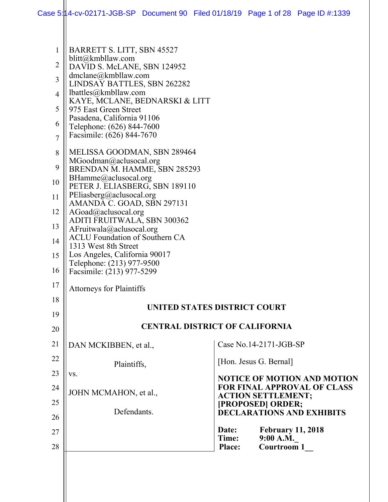| $\mathbf{1}$   | BARRETT S. LITT, SBN 45527                                 |                                                                          |  |  |  |
|----------------|------------------------------------------------------------|--------------------------------------------------------------------------|--|--|--|
| 2              | blitt@kmbllaw.com<br>DAVID S. McLANE, SBN 124952           |                                                                          |  |  |  |
| 3              | $d$ mclane@kmbllaw.com<br>LINDSAY BATTLES, SBN 262282      |                                                                          |  |  |  |
| $\overline{4}$ | $l$ battles@kmbllaw.com                                    |                                                                          |  |  |  |
| 5              | KAYE, MCLANE, BEDNARSKI & LITT<br>975 East Green Street    |                                                                          |  |  |  |
|                | Pasadena, California 91106                                 |                                                                          |  |  |  |
| 6              | Telephone: (626) 844-7600                                  |                                                                          |  |  |  |
| 7              | Facsimile: (626) 844-7670                                  |                                                                          |  |  |  |
| 8              | MELISSA GOODMAN, SBN 289464                                |                                                                          |  |  |  |
| 9              | MGoodman@aclusocal.org<br>BRENDAN M. HAMME, SBN 285293     |                                                                          |  |  |  |
| 10             | BHamme@aclusocal.org                                       |                                                                          |  |  |  |
|                | PETER J. ELIASBERG, SBN 189110<br>PEliasberg@aclusocal.org |                                                                          |  |  |  |
| 11             | AMANDA C. GOAD, SBN 297131                                 |                                                                          |  |  |  |
| 12             | AGoad@aclusocal.org                                        |                                                                          |  |  |  |
| 13             | ADITI FRUITWALA, SBN 300362<br>AFruitwala@aclusocal.org    |                                                                          |  |  |  |
| 14             | <b>ACLU Foundation of Southern CA</b>                      |                                                                          |  |  |  |
| 15             | 1313 West 8th Street<br>Los Angeles, California 90017      |                                                                          |  |  |  |
|                | Telephone: (213) 977-9500                                  |                                                                          |  |  |  |
| 16             | Facsimile: (213) 977-5299                                  |                                                                          |  |  |  |
| 17             | <b>Attorneys for Plaintiffs</b>                            |                                                                          |  |  |  |
| 18             | UNITED STATES DISTRICT COURT                               |                                                                          |  |  |  |
| 19             |                                                            |                                                                          |  |  |  |
| 20             |                                                            | <b>CENTRAL DISTRICT OF CALIFORNIA</b>                                    |  |  |  |
| 21             | DAN MCKIBBEN, et al.,                                      | Case No.14-2171-JGB-SP                                                   |  |  |  |
| 22             | Plaintiffs,                                                | [Hon. Jesus G. Bernal]                                                   |  |  |  |
| 23             | VS.                                                        |                                                                          |  |  |  |
| 24             |                                                            | <b>NOTICE OF MOTION AND MOTION</b><br><b>FOR FINAL APPROVAL OF CLASS</b> |  |  |  |
|                | JOHN MCMAHON, et al.,                                      | <b>ACTION SETTLEMENT;</b>                                                |  |  |  |
| 25             | Defendants.                                                | [PROPOSED] ORDER;<br><b>DECLARATIONS AND EXHIBITS</b>                    |  |  |  |
| 26             |                                                            |                                                                          |  |  |  |
| 27             |                                                            | <b>February 11, 2018</b><br>Date:<br>Time:<br>9:00 A.M.                  |  |  |  |
| 28             |                                                            | <b>Courtroom 1</b><br>Place:                                             |  |  |  |
|                |                                                            |                                                                          |  |  |  |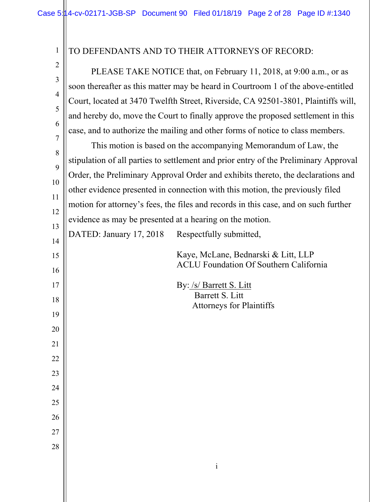| $\mathbf{1}$   | TO DEFENDANTS AND TO THEIR ATTORNEYS OF RECORD:                                      |                                                                                      |  |  |  |
|----------------|--------------------------------------------------------------------------------------|--------------------------------------------------------------------------------------|--|--|--|
| $\overline{2}$ | PLEASE TAKE NOTICE that, on February 11, 2018, at 9:00 a.m., or as                   |                                                                                      |  |  |  |
| $\mathfrak{Z}$ | soon thereafter as this matter may be heard in Courtroom 1 of the above-entitled     |                                                                                      |  |  |  |
| $\overline{4}$ | Court, located at 3470 Twelfth Street, Riverside, CA 92501-3801, Plaintiffs will,    |                                                                                      |  |  |  |
| 5              | and hereby do, move the Court to finally approve the proposed settlement in this     |                                                                                      |  |  |  |
| 6              | case, and to authorize the mailing and other forms of notice to class members.       |                                                                                      |  |  |  |
| 7              | This motion is based on the accompanying Memorandum of Law, the                      |                                                                                      |  |  |  |
| 8              | stipulation of all parties to settlement and prior entry of the Preliminary Approval |                                                                                      |  |  |  |
| 9              | Order, the Preliminary Approval Order and exhibits thereto, the declarations and     |                                                                                      |  |  |  |
| 10             | other evidence presented in connection with this motion, the previously filed        |                                                                                      |  |  |  |
| 11             | motion for attorney's fees, the files and records in this case, and on such further  |                                                                                      |  |  |  |
| 12             | evidence as may be presented at a hearing on the motion.                             |                                                                                      |  |  |  |
| 13             | DATED: January 17, 2018                                                              | Respectfully submitted,                                                              |  |  |  |
| 14             |                                                                                      |                                                                                      |  |  |  |
| 15             |                                                                                      | Kaye, McLane, Bednarski & Litt, LLP<br><b>ACLU Foundation Of Southern California</b> |  |  |  |
| 16             |                                                                                      |                                                                                      |  |  |  |
| 17             |                                                                                      | By: /s/ Barrett S. Litt<br>Barrett S. Litt                                           |  |  |  |
| 18<br>19       |                                                                                      | <b>Attorneys for Plaintiffs</b>                                                      |  |  |  |
| 20             |                                                                                      |                                                                                      |  |  |  |
| 21             |                                                                                      |                                                                                      |  |  |  |
| 22             |                                                                                      |                                                                                      |  |  |  |
| 23             |                                                                                      |                                                                                      |  |  |  |
| 24             |                                                                                      |                                                                                      |  |  |  |
| 25             |                                                                                      |                                                                                      |  |  |  |
| 26             |                                                                                      |                                                                                      |  |  |  |
| 27             |                                                                                      |                                                                                      |  |  |  |
| 28             |                                                                                      |                                                                                      |  |  |  |
|                |                                                                                      |                                                                                      |  |  |  |
|                |                                                                                      | $\mathbf{i}$                                                                         |  |  |  |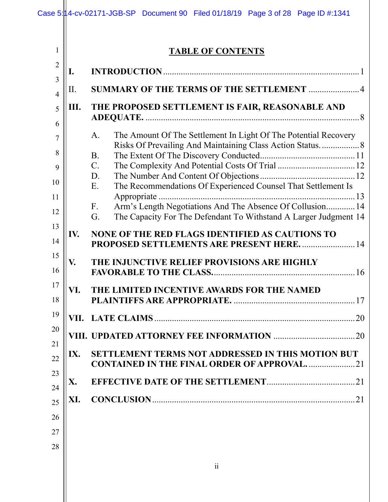1

# **TABLE OF CONTENTS**

| $\overline{2}$<br>I.<br>3<br>SUMMARY OF THE TERMS OF THE SETTLEMENT 4<br>II.<br>$\overline{4}$<br>THE PROPOSED SETTLEMENT IS FAIR, REASONABLE AND<br>Ш.<br>5<br>6<br>The Amount Of The Settlement In Light Of The Potential Recovery<br>A.<br>7<br>Risks Of Prevailing And Maintaining Class Action Status 8<br>8<br><b>B.</b><br>$\mathbf{C}$ .<br>9<br>D.<br>10 |    |
|-------------------------------------------------------------------------------------------------------------------------------------------------------------------------------------------------------------------------------------------------------------------------------------------------------------------------------------------------------------------|----|
|                                                                                                                                                                                                                                                                                                                                                                   |    |
|                                                                                                                                                                                                                                                                                                                                                                   |    |
|                                                                                                                                                                                                                                                                                                                                                                   |    |
| The Recommendations Of Experienced Counsel That Settlement Is<br>Ε.                                                                                                                                                                                                                                                                                               |    |
| Arm's Length Negotiations And The Absence Of Collusion 14<br>F <sub>r</sub><br>The Capacity For The Defendant To Withstand A Larger Judgment 14<br>G.                                                                                                                                                                                                             |    |
| IV.<br><b>NONE OF THE RED FLAGS IDENTIFIED AS CAUTIONS TO</b><br>PROPOSED SETTLEMENTS ARE PRESENT HERE.  14                                                                                                                                                                                                                                                       |    |
| V.<br>THE INJUNCTIVE RELIEF PROVISIONS ARE HIGHLY                                                                                                                                                                                                                                                                                                                 |    |
| VI.<br>THE LIMITED INCENTIVE AWARDS FOR THE NAMED                                                                                                                                                                                                                                                                                                                 |    |
|                                                                                                                                                                                                                                                                                                                                                                   |    |
| <b>UPDATED ATTORNEY FEE INFORMATION</b><br>VIII                                                                                                                                                                                                                                                                                                                   | 20 |
| <b>SETTLEMENT TERMS NOT ADDRESSED IN THIS MOTION BUT</b><br>IX.<br><b>CONTAINED IN THE FINAL ORDER OF APPROVAL21</b>                                                                                                                                                                                                                                              |    |
| X.                                                                                                                                                                                                                                                                                                                                                                |    |
| XI.                                                                                                                                                                                                                                                                                                                                                               |    |
|                                                                                                                                                                                                                                                                                                                                                                   |    |
|                                                                                                                                                                                                                                                                                                                                                                   |    |
|                                                                                                                                                                                                                                                                                                                                                                   |    |
|                                                                                                                                                                                                                                                                                                                                                                   |    |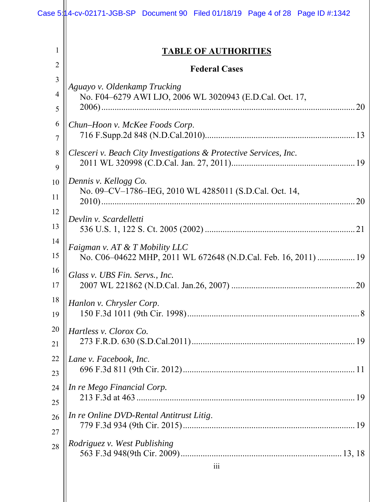# **TABLE OF AUTHORITIES**

|                | <b>TABLE OF AUTHORITIES</b>                                       |
|----------------|-------------------------------------------------------------------|
| $\overline{2}$ | <b>Federal Cases</b>                                              |
| 3              | Aguayo v. Oldenkamp Trucking                                      |
| $\overline{4}$ | No. F04-6279 AWI LJO, 2006 WL 3020943 (E.D.Cal. Oct. 17,          |
| 5              |                                                                   |
| 6              | Chun-Hoon v. McKee Foods Corp.                                    |
| 7              |                                                                   |
| 8              | Clesceri v. Beach City Investigations & Protective Services, Inc. |
| 9              |                                                                   |
| 10             | Dennis v. Kellogg Co.                                             |
| 11             | No. 09-CV-1786-IEG, 2010 WL 4285011 (S.D.Cal. Oct. 14,            |
| 12             |                                                                   |
| 13             | Devlin v. Scardelletti                                            |
| 14             | Faigman v. AT & T Mobility LLC                                    |
| 15             | No. C06-04622 MHP, 2011 WL 672648 (N.D.Cal. Feb. 16, 2011)  19    |
| 16             | Glass v. UBS Fin. Servs., Inc.                                    |
| 17             |                                                                   |
| 18             | Hanlon v. Chrysler Corp.                                          |
| 19             |                                                                   |
| 20             | <i>Hartless v. Clorox Co.</i>                                     |
| 21             |                                                                   |
| 22             | Lane v. Facebook, Inc.                                            |
| 23             |                                                                   |
| 24             | In re Mego Financial Corp.                                        |
| 25             |                                                                   |
| 26             | In re Online DVD-Rental Antitrust Litig.                          |
| 27             |                                                                   |
| 28             | Rodriguez v. West Publishing<br>111                               |
|                |                                                                   |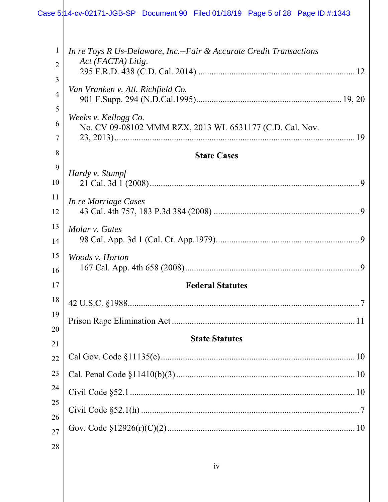| $\mathbf{1}$<br>2   | In re Toys R Us-Delaware, Inc.--Fair & Accurate Credit Transactions<br>Act (FACTA) Litig. |
|---------------------|-------------------------------------------------------------------------------------------|
| 3                   |                                                                                           |
| $\overline{4}$<br>5 | Van Vranken v. Atl. Richfield Co.                                                         |
| 6<br>7              | Weeks v. Kellogg Co.<br>No. CV 09-08102 MMM RZX, 2013 WL 6531177 (C.D. Cal. Nov.          |
| 8                   | <b>State Cases</b>                                                                        |
| 9<br>10             | Hardy v. Stumpf                                                                           |
| 11<br>12            | In re Marriage Cases                                                                      |
| 13<br>14            | Molar v. Gates                                                                            |
| 15<br>16            | Woods v. Horton                                                                           |
| 17                  | <b>Federal Statutes</b>                                                                   |
| 18                  |                                                                                           |
| 19                  |                                                                                           |
| 20                  | <b>State Statutes</b>                                                                     |
| 21                  |                                                                                           |
| 22                  |                                                                                           |
| 23                  |                                                                                           |
| 24                  |                                                                                           |
| 25<br>26            |                                                                                           |
| $27\,$              |                                                                                           |
| 28                  |                                                                                           |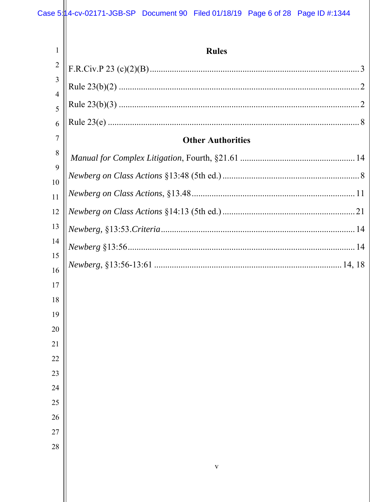| $\mathbf{1}$        | <b>Rules</b>             |
|---------------------|--------------------------|
| $\overline{2}$      |                          |
| 3                   |                          |
| $\overline{4}$<br>5 |                          |
| 6                   |                          |
| $\overline{7}$      | <b>Other Authorities</b> |
| 8                   |                          |
| 9                   |                          |
| 10                  |                          |
| 11                  |                          |
| 12                  |                          |
| 13                  |                          |
| 14                  |                          |
| 15                  |                          |
| 16<br>17            |                          |
| 18                  |                          |
| 19                  |                          |
| 20                  |                          |
| 21                  |                          |
| 22                  |                          |
| 23                  |                          |
| 24                  |                          |
| 25                  |                          |
| 26                  |                          |
| 27                  |                          |
| 28                  |                          |
|                     | $\mathbf{V}$             |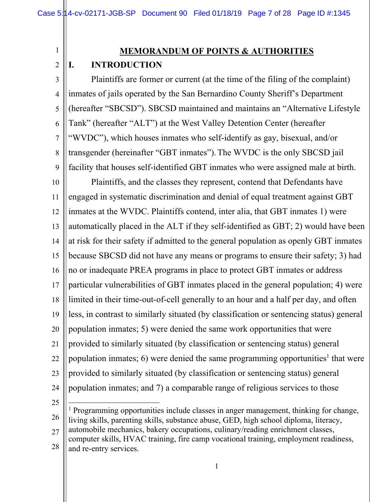1

2

## **MEMORANDUM OF POINTS & AUTHORITIES**

#### **I. INTRODUCTION**

3 4 5 6 7 8 9 Plaintiffs are former or current (at the time of the filing of the complaint) inmates of jails operated by the San Bernardino County Sheriff's Department (hereafter "SBCSD"). SBCSD maintained and maintains an "Alternative Lifestyle Tank" (hereafter "ALT") at the West Valley Detention Center (hereafter "WVDC"), which houses inmates who self-identify as gay, bisexual, and/or transgender (hereinafter "GBT inmates").The WVDC is the only SBCSD jail facility that houses self-identified GBT inmates who were assigned male at birth.

10 11 12 13 14 15 16 17 18 19 20 21 22 23 24 Plaintiffs, and the classes they represent, contend that Defendants have engaged in systematic discrimination and denial of equal treatment against GBT inmates at the WVDC. Plaintiffs contend, inter alia, that GBT inmates 1) were automatically placed in the ALT if they self-identified as GBT; 2) would have been at risk for their safety if admitted to the general population as openly GBT inmates because SBCSD did not have any means or programs to ensure their safety; 3) had no or inadequate PREA programs in place to protect GBT inmates or address particular vulnerabilities of GBT inmates placed in the general population; 4) were limited in their time-out-of-cell generally to an hour and a half per day, and often less, in contrast to similarly situated (by classification or sentencing status) general population inmates; 5) were denied the same work opportunities that were provided to similarly situated (by classification or sentencing status) general population inmates; 6) were denied the same programming opportunities<sup>1</sup> that were provided to similarly situated (by classification or sentencing status) general population inmates; and 7) a comparable range of religious services to those

25

 $\overline{\phantom{a}}$ 

and re-entry services.

26 27 <sup>1</sup> Programming opportunities include classes in anger management, thinking for change, living skills, parenting skills, substance abuse, GED, high school diploma, literacy, automobile mechanics, bakery occupations, culinary/reading enrichment classes, computer skills, HVAC training, fire camp vocational training, employment readiness,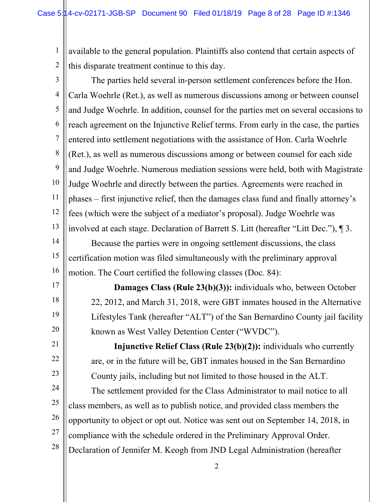1 2 available to the general population. Plaintiffs also contend that certain aspects of this disparate treatment continue to this day.

3 4 5 6 7 8 9 10 11 12 13 14 15 16 17 The parties held several in-person settlement conferences before the Hon. Carla Woehrle (Ret.), as well as numerous discussions among or between counsel and Judge Woehrle. In addition, counsel for the parties met on several occasions to reach agreement on the Injunctive Relief terms. From early in the case, the parties entered into settlement negotiations with the assistance of Hon. Carla Woehrle (Ret.), as well as numerous discussions among or between counsel for each side and Judge Woehrle. Numerous mediation sessions were held, both with Magistrate Judge Woehrle and directly between the parties. Agreements were reached in phases – first injunctive relief, then the damages class fund and finally attorney's fees (which were the subject of a mediator's proposal). Judge Woehrle was involved at each stage. Declaration of Barrett S. Litt (hereafter "Litt Dec."), ¶ 3. Because the parties were in ongoing settlement discussions, the class certification motion was filed simultaneously with the preliminary approval motion. The Court certified the following classes (Doc. 84):

**Damages Class (Rule 23(b)(3)):** individuals who, between October 22, 2012, and March 31, 2018, were GBT inmates housed in the Alternative Lifestyles Tank (hereafter "ALT") of the San Bernardino County jail facility known as West Valley Detention Center ("WVDC").

18

19

20

21

22

23

24

25

26

27

28

**Injunctive Relief Class (Rule 23(b)(2)):** individuals who currently are, or in the future will be, GBT inmates housed in the San Bernardino County jails, including but not limited to those housed in the ALT. The settlement provided for the Class Administrator to mail notice to all class members, as well as to publish notice, and provided class members the opportunity to object or opt out. Notice was sent out on September 14, 2018, in compliance with the schedule ordered in the Preliminary Approval Order. Declaration of Jennifer M. Keogh from JND Legal Administration (hereafter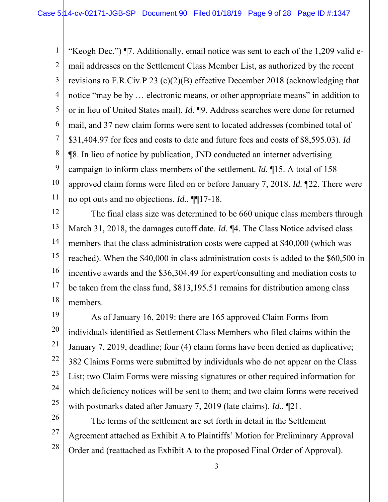1 2 3 4 5 6 7 8 9 10 11 "Keogh Dec.") ¶7. Additionally, email notice was sent to each of the 1,209 valid email addresses on the Settlement Class Member List, as authorized by the recent revisions to F.R.Civ.P 23 (c)(2)(B) effective December 2018 (acknowledging that notice "may be by … electronic means, or other appropriate means" in addition to or in lieu of United States mail). *Id.* ¶9. Address searches were done for returned mail, and 37 new claim forms were sent to located addresses (combined total of \$31,404.97 for fees and costs to date and future fees and costs of \$8,595.03). *Id*  ¶8. In lieu of notice by publication, JND conducted an internet advertising campaign to inform class members of the settlement. *Id.* ¶15. A total of 158 approved claim forms were filed on or before January 7, 2018. *Id.* ¶22. There were no opt outs and no objections. *Id.*. ¶¶17-18.

12 13 14 15 16 17 18 The final class size was determined to be 660 unique class members through March 31, 2018, the damages cutoff date. *Id*. ¶4. The Class Notice advised class members that the class administration costs were capped at \$40,000 (which was reached). When the \$40,000 in class administration costs is added to the \$60,500 in incentive awards and the \$36,304.49 for expert/consulting and mediation costs to be taken from the class fund, \$813,195.51 remains for distribution among class members.

19 20 21 22 23 24 25 As of January 16, 2019: there are 165 approved Claim Forms from individuals identified as Settlement Class Members who filed claims within the January 7, 2019, deadline; four (4) claim forms have been denied as duplicative; 382 Claims Forms were submitted by individuals who do not appear on the Class List; two Claim Forms were missing signatures or other required information for which deficiency notices will be sent to them; and two claim forms were received with postmarks dated after January 7, 2019 (late claims). *Id.*. ¶21.

The terms of the settlement are set forth in detail in the Settlement Agreement attached as Exhibit A to Plaintiffs' Motion for Preliminary Approval Order and (reattached as Exhibit A to the proposed Final Order of Approval).

26

27

28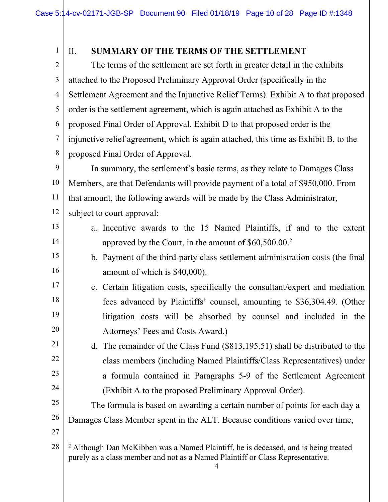4 1 2 3 4 5 6 7 8 9 10 11 12 13 14 15 16 17 18 19 20 21 22 23 24 25 26 27 28 II. **SUMMARY OF THE TERMS OF THE SETTLEMENT** The terms of the settlement are set forth in greater detail in the exhibits attached to the Proposed Preliminary Approval Order (specifically in the Settlement Agreement and the Injunctive Relief Terms). Exhibit A to that proposed order is the settlement agreement, which is again attached as Exhibit A to the proposed Final Order of Approval. Exhibit D to that proposed order is the injunctive relief agreement, which is again attached, this time as Exhibit B, to the proposed Final Order of Approval. In summary, the settlement's basic terms, as they relate to Damages Class Members, are that Defendants will provide payment of a total of \$950,000. From that amount, the following awards will be made by the Class Administrator, subject to court approval: a. Incentive awards to the 15 Named Plaintiffs, if and to the extent approved by the Court, in the amount of  $$60,500.00.^2$ b. Payment of the third-party class settlement administration costs (the final amount of which is \$40,000). c. Certain litigation costs, specifically the consultant/expert and mediation fees advanced by Plaintiffs' counsel, amounting to \$36,304.49. (Other litigation costs will be absorbed by counsel and included in the Attorneys' Fees and Costs Award.) d. The remainder of the Class Fund (\$813,195.51) shall be distributed to the class members (including Named Plaintiffs/Class Representatives) under a formula contained in Paragraphs 5-9 of the Settlement Agreement (Exhibit A to the proposed Preliminary Approval Order). The formula is based on awarding a certain number of points for each day a Damages Class Member spent in the ALT. Because conditions varied over time,  $\overline{\phantom{a}}$ <sup>2</sup> Although Dan McKibben was a Named Plaintiff, he is deceased, and is being treated purely as a class member and not as a Named Plaintiff or Class Representative.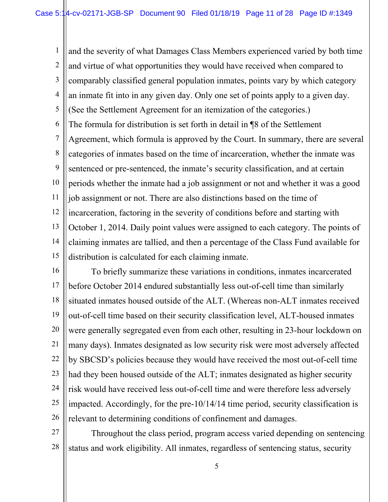1 2 3 4 5 6 7 8 9 10 11 12 13 14 15 and the severity of what Damages Class Members experienced varied by both time and virtue of what opportunities they would have received when compared to comparably classified general population inmates, points vary by which category an inmate fit into in any given day. Only one set of points apply to a given day. (See the Settlement Agreement for an itemization of the categories.) The formula for distribution is set forth in detail in ¶8 of the Settlement Agreement, which formula is approved by the Court. In summary, there are several categories of inmates based on the time of incarceration, whether the inmate was sentenced or pre-sentenced, the inmate's security classification, and at certain periods whether the inmate had a job assignment or not and whether it was a good job assignment or not. There are also distinctions based on the time of incarceration, factoring in the severity of conditions before and starting with October 1, 2014. Daily point values were assigned to each category. The points of claiming inmates are tallied, and then a percentage of the Class Fund available for distribution is calculated for each claiming inmate.

16 17 18 19 20 21 22 23 24 25 26 To briefly summarize these variations in conditions, inmates incarcerated before October 2014 endured substantially less out-of-cell time than similarly situated inmates housed outside of the ALT. (Whereas non-ALT inmates received out-of-cell time based on their security classification level, ALT-housed inmates were generally segregated even from each other, resulting in 23-hour lockdown on many days). Inmates designated as low security risk were most adversely affected by SBCSD's policies because they would have received the most out-of-cell time had they been housed outside of the ALT; inmates designated as higher security risk would have received less out-of-cell time and were therefore less adversely impacted. Accordingly, for the pre-10/14/14 time period, security classification is relevant to determining conditions of confinement and damages.

27 28 Throughout the class period, program access varied depending on sentencing status and work eligibility. All inmates, regardless of sentencing status, security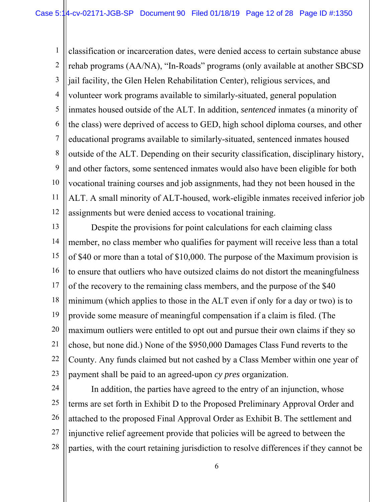1 2 3 4 5 6 7 8 9 10 11 12 classification or incarceration dates, were denied access to certain substance abuse rehab programs (AA/NA), "In-Roads" programs (only available at another SBCSD jail facility, the Glen Helen Rehabilitation Center), religious services, and volunteer work programs available to similarly-situated, general population inmates housed outside of the ALT. In addition, *sentenced* inmates (a minority of the class) were deprived of access to GED, high school diploma courses, and other educational programs available to similarly-situated, sentenced inmates housed outside of the ALT. Depending on their security classification, disciplinary history, and other factors, some sentenced inmates would also have been eligible for both vocational training courses and job assignments, had they not been housed in the ALT. A small minority of ALT-housed, work-eligible inmates received inferior job assignments but were denied access to vocational training.

13 14 15 16 17 18 19 20 21 22 23 Despite the provisions for point calculations for each claiming class member, no class member who qualifies for payment will receive less than a total of \$40 or more than a total of \$10,000. The purpose of the Maximum provision is to ensure that outliers who have outsized claims do not distort the meaningfulness of the recovery to the remaining class members, and the purpose of the \$40 minimum (which applies to those in the ALT even if only for a day or two) is to provide some measure of meaningful compensation if a claim is filed. (The maximum outliers were entitled to opt out and pursue their own claims if they so chose, but none did.) None of the \$950,000 Damages Class Fund reverts to the County. Any funds claimed but not cashed by a Class Member within one year of payment shall be paid to an agreed-upon *cy pres* organization.

24

25 26 27 28 In addition, the parties have agreed to the entry of an injunction, whose terms are set forth in Exhibit D to the Proposed Preliminary Approval Order and attached to the proposed Final Approval Order as Exhibit B. The settlement and injunctive relief agreement provide that policies will be agreed to between the parties, with the court retaining jurisdiction to resolve differences if they cannot be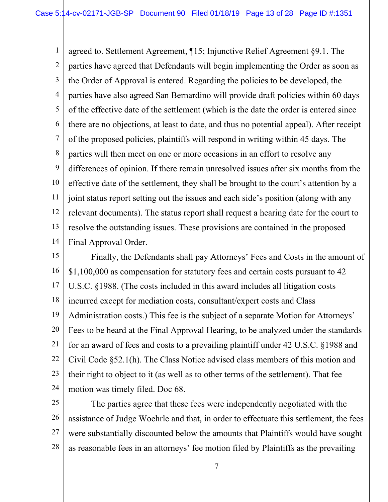1 2 3 4 5 6 7 8 9 10 11 12 13 14 agreed to. Settlement Agreement, ¶15; Injunctive Relief Agreement §9.1. The parties have agreed that Defendants will begin implementing the Order as soon as the Order of Approval is entered. Regarding the policies to be developed, the parties have also agreed San Bernardino will provide draft policies within 60 days of the effective date of the settlement (which is the date the order is entered since there are no objections, at least to date, and thus no potential appeal). After receipt of the proposed policies, plaintiffs will respond in writing within 45 days. The parties will then meet on one or more occasions in an effort to resolve any differences of opinion. If there remain unresolved issues after six months from the effective date of the settlement, they shall be brought to the court's attention by a joint status report setting out the issues and each side's position (along with any relevant documents). The status report shall request a hearing date for the court to resolve the outstanding issues. These provisions are contained in the proposed Final Approval Order.

15 16 17 18 19 20 21 22 23 24 Finally, the Defendants shall pay Attorneys' Fees and Costs in the amount of \$1,100,000 as compensation for statutory fees and certain costs pursuant to 42 U.S.C. §1988. (The costs included in this award includes all litigation costs incurred except for mediation costs, consultant/expert costs and Class Administration costs.) This fee is the subject of a separate Motion for Attorneys' Fees to be heard at the Final Approval Hearing, to be analyzed under the standards for an award of fees and costs to a prevailing plaintiff under 42 U.S.C. §1988 and Civil Code §52.1(h). The Class Notice advised class members of this motion and their right to object to it (as well as to other terms of the settlement). That fee motion was timely filed. Doc 68.

25 26 27 28 The parties agree that these fees were independently negotiated with the assistance of Judge Woehrle and that, in order to effectuate this settlement, the fees were substantially discounted below the amounts that Plaintiffs would have sought as reasonable fees in an attorneys' fee motion filed by Plaintiffs as the prevailing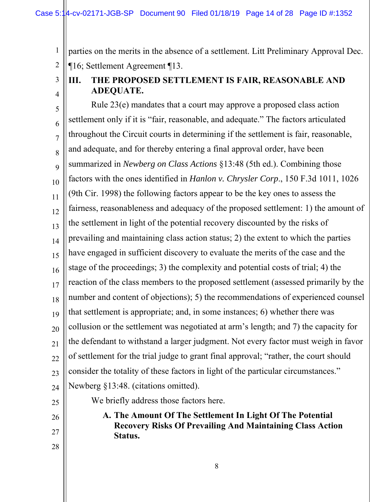2 parties on the merits in the absence of a settlement. Litt Preliminary Approval Dec. ¶16; Settlement Agreement ¶13.

3 4

1

# **III. THE PROPOSED SETTLEMENT IS FAIR, REASONABLE AND ADEQUATE.**

5 6 7 8 9 10 11 12 13 14 15 16 17 18 19 20 21 22 23 24 Rule 23(e) mandates that a court may approve a proposed class action settlement only if it is "fair, reasonable, and adequate." The factors articulated throughout the Circuit courts in determining if the settlement is fair, reasonable, and adequate, and for thereby entering a final approval order, have been summarized in *Newberg on Class Actions* §13:48 (5th ed.). Combining those factors with the ones identified in *Hanlon v. Chrysler Corp*., 150 F.3d 1011, 1026 (9th Cir. 1998) the following factors appear to be the key ones to assess the fairness, reasonableness and adequacy of the proposed settlement: 1) the amount of the settlement in light of the potential recovery discounted by the risks of prevailing and maintaining class action status; 2) the extent to which the parties have engaged in sufficient discovery to evaluate the merits of the case and the stage of the proceedings; 3) the complexity and potential costs of trial; 4) the reaction of the class members to the proposed settlement (assessed primarily by the number and content of objections); 5) the recommendations of experienced counsel that settlement is appropriate; and, in some instances; 6) whether there was collusion or the settlement was negotiated at arm's length; and 7) the capacity for the defendant to withstand a larger judgment. Not every factor must weigh in favor of settlement for the trial judge to grant final approval; "rather, the court should consider the totality of these factors in light of the particular circumstances." Newberg §13:48. (citations omitted).

- 25
- 26
- 27

28

**A. The Amount Of The Settlement In Light Of The Potential Recovery Risks Of Prevailing And Maintaining Class Action Status.** 

We briefly address those factors here.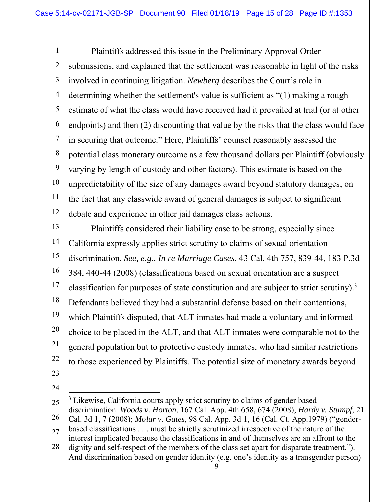1 2 3 4 5 6 7 8 9 10 11 12 Plaintiffs addressed this issue in the Preliminary Approval Order submissions, and explained that the settlement was reasonable in light of the risks involved in continuing litigation. *Newberg* describes the Court's role in determining whether the settlement's value is sufficient as "(1) making a rough estimate of what the class would have received had it prevailed at trial (or at other endpoints) and then (2) discounting that value by the risks that the class would face in securing that outcome." Here, Plaintiffs' counsel reasonably assessed the potential class monetary outcome as a few thousand dollars per Plaintiff (obviously varying by length of custody and other factors). This estimate is based on the unpredictability of the size of any damages award beyond statutory damages, on the fact that any classwide award of general damages is subject to significant debate and experience in other jail damages class actions.

13 14 15 16 17 18 19 20 21 22 Plaintiffs considered their liability case to be strong, especially since California expressly applies strict scrutiny to claims of sexual orientation discrimination. *See, e.g., In re Marriage Cases*, 43 Cal. 4th 757, 839-44, 183 P.3d 384, 440-44 (2008) (classifications based on sexual orientation are a suspect classification for purposes of state constitution and are subject to strict scrutiny).3 Defendants believed they had a substantial defense based on their contentions, which Plaintiffs disputed, that ALT inmates had made a voluntary and informed choice to be placed in the ALT, and that ALT inmates were comparable not to the general population but to protective custody inmates, who had similar restrictions to those experienced by Plaintiffs. The potential size of monetary awards beyond

- 23
- 24

<sup>25</sup> 26 27  $\overline{a}$ <sup>3</sup> Likewise, California courts apply strict scrutiny to claims of gender based discrimination. *Woods v. Horton*, 167 Cal. App. 4th 658, 674 (2008); *Hardy v. Stumpf*, 21 Cal. 3d 1, 7 (2008); *Molar v. Gates*, 98 Cal. App. 3d 1, 16 (Cal. Ct. App.1979) ("genderbased classifications . . . must be strictly scrutinized irrespective of the nature of the interest implicated because the classifications in and of themselves are an affront to the

<sup>28</sup> dignity and self-respect of the members of the class set apart for disparate treatment."). And discrimination based on gender identity (e.g. one's identity as a transgender person)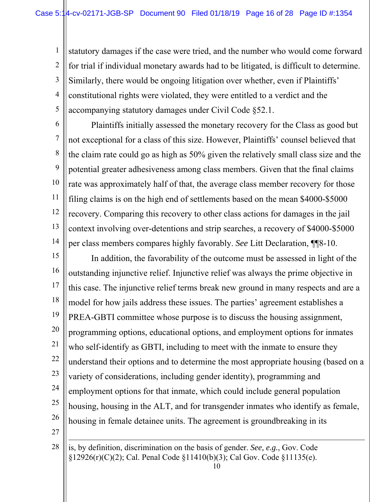1 2 3 4 5 statutory damages if the case were tried, and the number who would come forward for trial if individual monetary awards had to be litigated, is difficult to determine. Similarly, there would be ongoing litigation over whether, even if Plaintiffs' constitutional rights were violated, they were entitled to a verdict and the accompanying statutory damages under Civil Code §52.1.

6

 $\overline{\phantom{a}}$ 

7 8 9 10 11 12 13 14 Plaintiffs initially assessed the monetary recovery for the Class as good but not exceptional for a class of this size. However, Plaintiffs' counsel believed that the claim rate could go as high as 50% given the relatively small class size and the potential greater adhesiveness among class members. Given that the final claims rate was approximately half of that, the average class member recovery for those filing claims is on the high end of settlements based on the mean \$4000-\$5000 recovery. Comparing this recovery to other class actions for damages in the jail context involving over-detentions and strip searches, a recovery of \$4000-\$5000 per class members compares highly favorably. *See* Litt Declaration, ¶¶8-10.

15 16 17 18 19 20 21 22 23 24 25 26 27 In addition, the favorability of the outcome must be assessed in light of the outstanding injunctive relief. Injunctive relief was always the prime objective in this case. The injunctive relief terms break new ground in many respects and are a model for how jails address these issues. The parties' agreement establishes a PREA-GBTI committee whose purpose is to discuss the housing assignment, programming options, educational options, and employment options for inmates who self-identify as GBTI, including to meet with the inmate to ensure they understand their options and to determine the most appropriate housing (based on a variety of considerations, including gender identity), programming and employment options for that inmate, which could include general population housing, housing in the ALT, and for transgender inmates who identify as female, housing in female detainee units. The agreement is groundbreaking in its

28 is, by definition, discrimination on the basis of gender. *See, e.g.*, Gov. Code §12926(r)(C)(2); Cal. Penal Code §11410(b)(3); Cal Gov. Code §11135(e).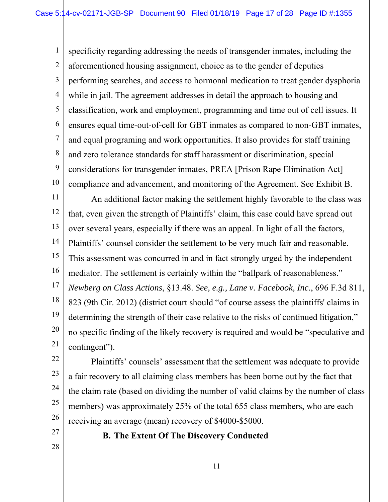1 2 3 4 5 6 7 8 9 10 11 specificity regarding addressing the needs of transgender inmates, including the aforementioned housing assignment, choice as to the gender of deputies performing searches, and access to hormonal medication to treat gender dysphoria while in jail. The agreement addresses in detail the approach to housing and classification, work and employment, programming and time out of cell issues. It ensures equal time-out-of-cell for GBT inmates as compared to non-GBT inmates, and equal programing and work opportunities. It also provides for staff training and zero tolerance standards for staff harassment or discrimination, special considerations for transgender inmates, PREA [Prison Rape Elimination Act] compliance and advancement, and monitoring of the Agreement. See Exhibit B. An additional factor making the settlement highly favorable to the class was

12 13 14 15 16 17 18 19 20 21 that, even given the strength of Plaintiffs' claim, this case could have spread out over several years, especially if there was an appeal. In light of all the factors, Plaintiffs' counsel consider the settlement to be very much fair and reasonable. This assessment was concurred in and in fact strongly urged by the independent mediator. The settlement is certainly within the "ballpark of reasonableness." *Newberg on Class Actions*, §13.48. *See, e.g., Lane v. Facebook, Inc*., 696 F.3d 811, 823 (9th Cir. 2012) (district court should "of course assess the plaintiffs' claims in determining the strength of their case relative to the risks of continued litigation," no specific finding of the likely recovery is required and would be "speculative and contingent").

22

23 24 25 26 Plaintiffs' counsels' assessment that the settlement was adequate to provide a fair recovery to all claiming class members has been borne out by the fact that the claim rate (based on dividing the number of valid claims by the number of class members) was approximately 25% of the total 655 class members, who are each receiving an average (mean) recovery of \$4000-\$5000.

**B. The Extent Of The Discovery Conducted**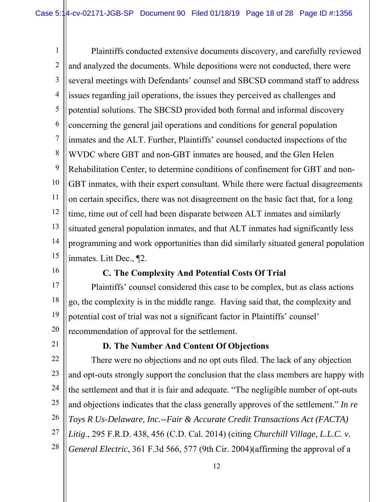1 2 3 4 5 6 7 8 9 10 11 12 13 14 15 Plaintiffs conducted extensive documents discovery, and carefully reviewed and analyzed the documents. While depositions were not conducted, there were several meetings with Defendants' counsel and SBCSD command staff to address issues regarding jail operations, the issues they perceived as challenges and potential solutions. The SBCSD provided both formal and informal discovery concerning the general jail operations and conditions for general population inmates and the ALT. Further, Plaintiffs' counsel conducted inspections of the WVDC where GBT and non-GBT inmates are housed, and the Glen Helen Rehabilitation Center, to determine conditions of confinement for GBT and non-GBT inmates, with their expert consultant. While there were factual disagreements on certain specifics, there was not disagreement on the basic fact that, for a long time, time out of cell had been disparate between ALT inmates and similarly situated general population inmates, and that ALT inmates had significantly less programming and work opportunities than did similarly situated general population inmates. Litt Dec., ¶2.

16

#### **C. The Complexity And Potential Costs Of Trial**

17 18 19 20 Plaintiffs' counsel considered this case to be complex, but as class actions go, the complexity is in the middle range. Having said that, the complexity and potential cost of trial was not a significant factor in Plaintiffs' counsel' recommendation of approval for the settlement.

21

## **D. The Number And Content Of Objections**

22 23 24 25 26 27 28 There were no objections and no opt outs filed. The lack of any objection and opt-outs strongly support the conclusion that the class members are happy with the settlement and that it is fair and adequate. "The negligible number of opt-outs and objections indicates that the class generally approves of the settlement." *In re Toys R Us-Delaware, Inc.--Fair & Accurate Credit Transactions Act (FACTA) Litig*., 295 F.R.D. 438, 456 (C.D. Cal. 2014) (citing *Churchill Village, L.L.C. v.*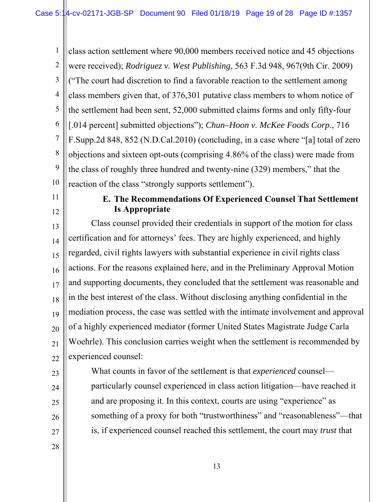1 2 3 4 5 6 7 8 9 10 class action settlement where 90,000 members received notice and 45 objections were received); *Rodriguez v. West Publishing*, 563 F.3d 948, 967(9th Cir. 2009) ("The court had discretion to find a favorable reaction to the settlement among class members given that, of 376,301 putative class members to whom notice of the settlement had been sent, 52,000 submitted claims forms and only fifty-four [.014 percent] submitted objections"); *Chun–Hoon v. McKee Foods Corp*., 716 F.Supp.2d 848, 852 (N.D.Cal.2010) (concluding, in a case where "[a] total of zero objections and sixteen opt-outs (comprising 4.86% of the class) were made from the class of roughly three hundred and twenty-nine (329) members," that the reaction of the class "strongly supports settlement").

- 11
- 12

#### **E. The Recommendations Of Experienced Counsel That Settlement Is Appropriate**

13 14 15 16 17 18 19 20 21 22 Class counsel provided their credentials in support of the motion for class certification and for attorneys' fees. They are highly experienced, and highly regarded, civil rights lawyers with substantial experience in civil rights class actions. For the reasons explained here, and in the Preliminary Approval Motion and supporting documents, they concluded that the settlement was reasonable and in the best interest of the class. Without disclosing anything confidential in the mediation process, the case was settled with the intimate involvement and approval of a highly experienced mediator (former United States Magistrate Judge Carla Woehrle). This conclusion carries weight when the settlement is recommended by experienced counsel:

What counts in favor of the settlement is that *experienced* counsel particularly counsel experienced in class action litigation—have reached it and are proposing it. In this context, courts are using "experience" as something of a proxy for both "trustworthiness" and "reasonableness"—that is, if experienced counsel reached this settlement, the court may *trust* that

28

23

24

25

26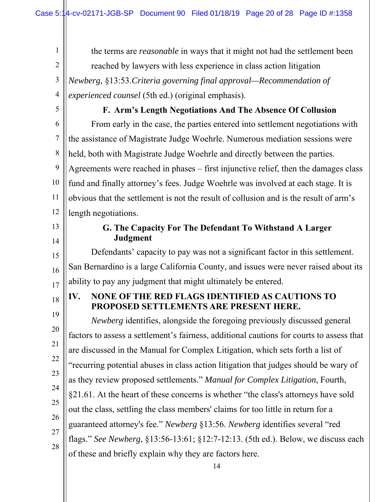the terms are *reasonable* in ways that it might not had the settlement been reached by lawyers with less experience in class action litigation *Newberg,* §13:53.*Criteria governing final approval—Recommendation of* 

*experienced counsel* (5th ed.) (original emphasis).

4 5

1

2

3

#### **F. Arm's Length Negotiations And The Absence Of Collusion**

6 7 8 9 10 11 12 From early in the case, the parties entered into settlement negotiations with the assistance of Magistrate Judge Woehrle. Numerous mediation sessions were held, both with Magistrate Judge Woehrle and directly between the parties. Agreements were reached in phases – first injunctive relief, then the damages class fund and finally attorney's fees. Judge Woehrle was involved at each stage. It is obvious that the settlement is not the result of collusion and is the result of arm's length negotiations.

13

14

18

### **G. The Capacity For The Defendant To Withstand A Larger Judgment**

15 16 17 Defendants' capacity to pay was not a significant factor in this settlement. San Bernardino is a large California County, and issues were never raised about its ability to pay any judgment that might ultimately be entered.

## **IV. NONE OF THE RED FLAGS IDENTIFIED AS CAUTIONS TO PROPOSED SETTLEMENTS ARE PRESENT HERE.**

19 20 21 22 23 24 25 26 27 28 *Newberg* identifies, alongside the foregoing previously discussed general factors to assess a settlement's fairness, additional cautions for courts to assess that are discussed in the Manual for Complex Litigation, which sets forth a list of "recurring potential abuses in class action litigation that judges should be wary of as they review proposed settlements." *Manual for Complex Litigation*, Fourth, §21.61. At the heart of these concerns is whether "the class's attorneys have sold out the class, settling the class members' claims for too little in return for a guaranteed attorney's fee." *Newberg* §13:56. *Newberg* identifies several "red flags." *See Newberg*, §13:56-13:61; §12:7-12:13. (5th ed.). Below, we discuss each of these and briefly explain why they are factors here.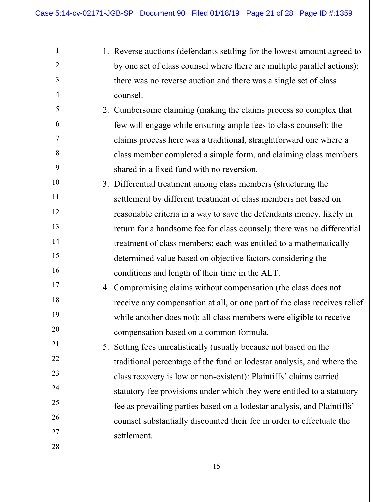| $\mathbf{1}$   | 1. Reverse auctions (defendants settling for the lowest amount agreed to  |
|----------------|---------------------------------------------------------------------------|
| $\overline{2}$ | by one set of class counsel where there are multiple parallel actions):   |
| 3              | there was no reverse auction and there was a single set of class          |
| 4              | counsel.                                                                  |
| 5              | 2. Cumbersome claiming (making the claims process so complex that         |
| 6              | few will engage while ensuring ample fees to class counsel): the          |
| 7              | claims process here was a traditional, straightforward one where a        |
| 8              | class member completed a simple form, and claiming class members          |
| 9              | shared in a fixed fund with no reversion.                                 |
| 10             | 3. Differential treatment among class members (structuring the            |
| 11             | settlement by different treatment of class members not based on           |
| 12             | reasonable criteria in a way to save the defendants money, likely in      |
| 13             | return for a handsome fee for class counsel): there was no differential   |
| 14             | treatment of class members; each was entitled to a mathematically         |
| 15             | determined value based on objective factors considering the               |
| 16             | conditions and length of their time in the ALT.                           |
| 17             | 4. Compromising claims without compensation (the class does not           |
| 18             | receive any compensation at all, or one part of the class receives relief |
| 19             | while another does not): all class members were eligible to receive       |
| 20             | compensation based on a common formula.                                   |
| 21             | 5. Setting fees unrealistically (usually because not based on the         |
| 22             | traditional percentage of the fund or lodestar analysis, and where the    |
| 23             | class recovery is low or non-existent): Plaintiffs' claims carried        |
| 24             | statutory fee provisions under which they were entitled to a statutory    |
| 25             | fee as prevailing parties based on a lodestar analysis, and Plaintiffs'   |
| 26             | counsel substantially discounted their fee in order to effectuate the     |
| 27             | settlement.                                                               |
| 28             |                                                                           |
|                |                                                                           |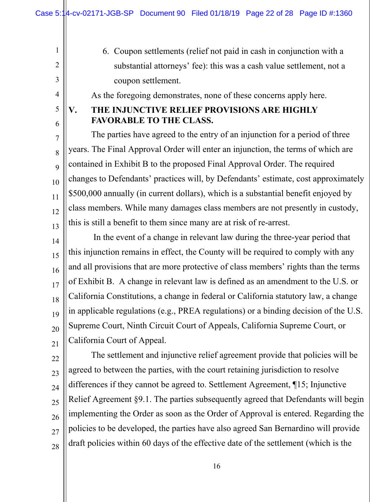1

2

3

4

5

6

6. Coupon settlements (relief not paid in cash in conjunction with a substantial attorneys' fee): this was a cash value settlement, not a coupon settlement.

As the foregoing demonstrates, none of these concerns apply here.

## **V. THE INJUNCTIVE RELIEF PROVISIONS ARE HIGHLY FAVORABLE TO THE CLASS.**

7 8 9 10 11 12 13 The parties have agreed to the entry of an injunction for a period of three years. The Final Approval Order will enter an injunction, the terms of which are contained in Exhibit B to the proposed Final Approval Order. The required changes to Defendants' practices will, by Defendants' estimate, cost approximately \$500,000 annually (in current dollars), which is a substantial benefit enjoyed by class members. While many damages class members are not presently in custody, this is still a benefit to them since many are at risk of re-arrest.

14 15 16 17 18 19 20 21 In the event of a change in relevant law during the three-year period that this injunction remains in effect, the County will be required to comply with any and all provisions that are more protective of class members' rights than the terms of Exhibit B. A change in relevant law is defined as an amendment to the U.S. or California Constitutions, a change in federal or California statutory law, a change in applicable regulations (e.g., PREA regulations) or a binding decision of the U.S. Supreme Court, Ninth Circuit Court of Appeals, California Supreme Court, or California Court of Appeal.

22 23 24 25 26 27 28 The settlement and injunctive relief agreement provide that policies will be agreed to between the parties, with the court retaining jurisdiction to resolve differences if they cannot be agreed to. Settlement Agreement, ¶15; Injunctive Relief Agreement §9.1. The parties subsequently agreed that Defendants will begin implementing the Order as soon as the Order of Approval is entered. Regarding the policies to be developed, the parties have also agreed San Bernardino will provide draft policies within 60 days of the effective date of the settlement (which is the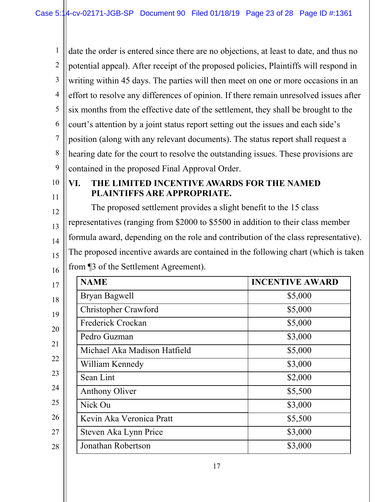1 2 3 4 5 6 7 8 9 10 date the order is entered since there are no objections, at least to date, and thus no potential appeal). After receipt of the proposed policies, Plaintiffs will respond in writing within 45 days. The parties will then meet on one or more occasions in an effort to resolve any differences of opinion. If there remain unresolved issues after six months from the effective date of the settlement, they shall be brought to the court's attention by a joint status report setting out the issues and each side's position (along with any relevant documents). The status report shall request a hearing date for the court to resolve the outstanding issues. These provisions are contained in the proposed Final Approval Order.

11

#### **VI. THE LIMITED INCENTIVE AWARDS FOR THE NAMED PLAINTIFFS ARE APPROPRIATE.**

12 13 14 15 16 The proposed settlement provides a slight benefit to the 15 class representatives (ranging from \$2000 to \$5500 in addition to their class member formula award, depending on the role and contribution of the class representative). The proposed incentive awards are contained in the following chart (which is taken from ¶3 of the Settlement Agreement).

| <b>NAME</b>                  | <b>INCENTIVE AWARD</b> |
|------------------------------|------------------------|
| Bryan Bagwell                | \$5,000                |
| Christopher Crawford         | \$5,000                |
| Frederick Crockan            | \$5,000                |
| Pedro Guzman                 | \$3,000                |
| Michael Aka Madison Hatfield | \$5,000                |
| William Kennedy              | \$3,000                |
| Sean Lint                    | \$2,000                |
| <b>Anthony Oliver</b>        | \$5,500                |
| Nick Ou                      | \$3,000                |
| Kevin Aka Veronica Pratt     | \$5,500                |
| Steven Aka Lynn Price        | \$3,000                |
| Jonathan Robertson           | \$3,000                |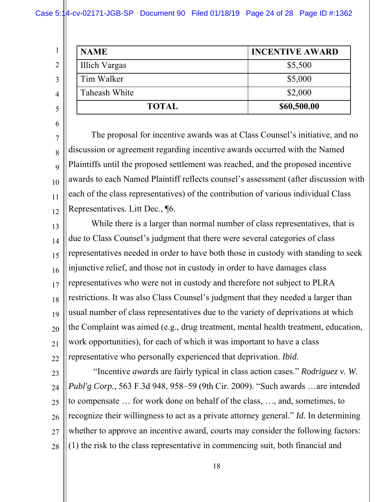Case 5:14-cv-02171-JGB-SP Document 90 Filed 01/18/19 Page 24 of 28 Page ID #:1362

| <b>NAME</b>   | <b>INCENTIVE AWARD</b> |
|---------------|------------------------|
| Illich Vargas | \$5,500                |
| Tim Walker    | \$5,000                |
| Taheash White | \$2,000                |
| <b>TOTAL</b>  | \$60,500.00            |

5 6

1

2

3

4

7

8 9 10 11 12 The proposal for incentive awards was at Class Counsel's initiative, and no discussion or agreement regarding incentive awards occurred with the Named Plaintiffs until the proposed settlement was reached, and the proposed incentive awards to each Named Plaintiff reflects counsel's assessment (after discussion with each of the class representatives) of the contribution of various individual Class Representatives. Litt Dec., ¶6.

13 14 15 16 17 18 19 20 21 22 While there is a larger than normal number of class representatives, that is due to Class Counsel's judgment that there were several categories of class representatives needed in order to have both those in custody with standing to seek injunctive relief, and those not in custody in order to have damages class representatives who were not in custody and therefore not subject to PLRA restrictions. It was also Class Counsel's judgment that they needed a larger than usual number of class representatives due to the variety of deprivations at which the Complaint was aimed (e.g., drug treatment, mental health treatment, education, work opportunities), for each of which it was important to have a class representative who personally experienced that deprivation. *Ibid*.

23

24 25 26 27 28 "Incentive *awards* are fairly typical in class action cases." *Rodriguez v. W. Publ'g Corp.*, 563 F.3d 948, 958–59 (9th Cir. 2009). "Such awards …are intended to compensate … for work done on behalf of the class, …, and, sometimes, to recognize their willingness to act as a private attorney general." *Id.* In determining whether to approve an incentive award, courts may consider the following factors: (1) the risk to the class representative in commencing suit, both financial and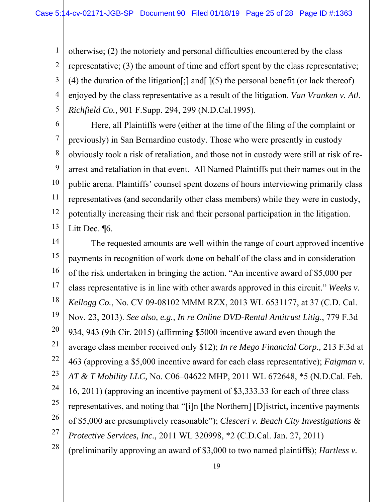1 2 3 4 5 otherwise; (2) the notoriety and personal difficulties encountered by the class representative; (3) the amount of time and effort spent by the class representative; (4) the duration of the litigation  $\vert$ ; and  $\vert$   $\vert$   $(5)$  the personal benefit (or lack thereof) enjoyed by the class representative as a result of the litigation. *Van Vranken v. Atl. Richfield Co.,* 901 F.Supp. 294, 299 (N.D.Cal.1995).

6

7 8 9 10 11 12 13 Here, all Plaintiffs were (either at the time of the filing of the complaint or previously) in San Bernardino custody. Those who were presently in custody obviously took a risk of retaliation, and those not in custody were still at risk of rearrest and retaliation in that event. All Named Plaintiffs put their names out in the public arena. Plaintiffs' counsel spent dozens of hours interviewing primarily class representatives (and secondarily other class members) while they were in custody, potentially increasing their risk and their personal participation in the litigation. Litt Dec. ¶6.

14 15 16 17 18 19 20 21 22 23 24 25 26 27 28 The requested amounts are well within the range of court approved incentive payments in recognition of work done on behalf of the class and in consideration of the risk undertaken in bringing the action. "An incentive award of \$5,000 per class representative is in line with other awards approved in this circuit." *Weeks v. Kellogg Co.*, No. CV 09-08102 MMM RZX, 2013 WL 6531177, at 37 (C.D. Cal. Nov. 23, 2013). *See also, e.g., In re Online DVD-Rental Antitrust Litig*., 779 F.3d 934, 943 (9th Cir. 2015) (affirming \$5000 incentive award even though the average class member received only \$12); *In re Mego Financial Corp.,* 213 F.3d at 463 (approving a \$5,000 incentive award for each class representative); *Faigman v. AT & T Mobility LLC,* No. C06–04622 MHP, 2011 WL 672648, \*5 (N.D.Cal. Feb. 16, 2011) (approving an incentive payment of \$3,333.33 for each of three class representatives, and noting that "[i]n [the Northern] [D]istrict, incentive payments of \$5,000 are presumptively reasonable"); *Clesceri v. Beach City Investigations & Protective Services, Inc.,* 2011 WL 320998, \*2 (C.D.Cal. Jan. 27, 2011) (preliminarily approving an award of \$3,000 to two named plaintiffs); *Hartless v.*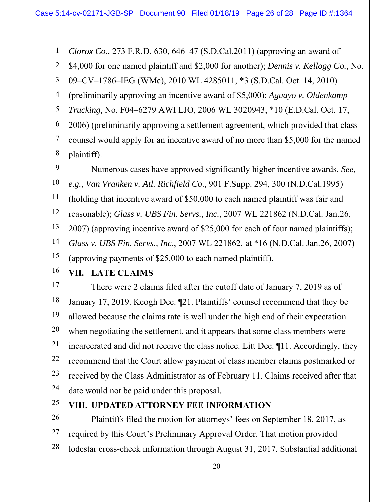1 2 3 4 5 6 7 8 9 10 *Clorox Co.,* 273 F.R.D. 630, 646–47 (S.D.Cal.2011) (approving an award of \$4,000 for one named plaintiff and \$2,000 for another); *Dennis v. Kellogg Co.,* No. 09–CV–1786–IEG (WMc), 2010 WL 4285011, \*3 (S.D.Cal. Oct. 14, 2010) (preliminarily approving an incentive award of \$5,000); *Aguayo v. Oldenkamp Trucking,* No. F04–6279 AWI LJO, 2006 WL 3020943, \*10 (E.D.Cal. Oct. 17, 2006) (preliminarily approving a settlement agreement, which provided that class counsel would apply for an incentive award of no more than \$5,000 for the named plaintiff). Numerous cases have approved significantly higher incentive awards. *See, e.g., Van Vranken v. Atl. Richfield Co*., 901 F.Supp. 294, 300 (N.D.Cal.1995)

11 12 13 14 15 (holding that incentive award of \$50,000 to each named plaintiff was fair and reasonable); *Glass v. UBS Fin. Servs., Inc.,* 2007 WL 221862 (N.D.Cal. Jan.26, 2007) (approving incentive award of \$25,000 for each of four named plaintiffs); *Glass v. UBS Fin. Servs., Inc.*, 2007 WL 221862, at \*16 (N.D.Cal. Jan.26, 2007) (approving payments of \$25,000 to each named plaintiff).

16

**VII. LATE CLAIMS** 

17 18 19 20 21 22 23 24 There were 2 claims filed after the cutoff date of January 7, 2019 as of January 17, 2019. Keogh Dec. ¶21. Plaintiffs' counsel recommend that they be allowed because the claims rate is well under the high end of their expectation when negotiating the settlement, and it appears that some class members were incarcerated and did not receive the class notice. Litt Dec. ¶11. Accordingly, they recommend that the Court allow payment of class member claims postmarked or received by the Class Administrator as of February 11. Claims received after that date would not be paid under this proposal.

25

## **VIII. UPDATED ATTORNEY FEE INFORMATION**

26 27 28 Plaintiffs filed the motion for attorneys' fees on September 18, 2017, as required by this Court's Preliminary Approval Order. That motion provided lodestar cross-check information through August 31, 2017. Substantial additional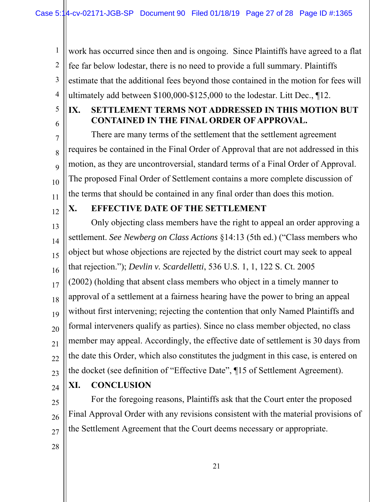work has occurred since then and is ongoing. Since Plaintiffs have agreed to a flat fee far below lodestar, there is no need to provide a full summary. Plaintiffs estimate that the additional fees beyond those contained in the motion for fees will ultimately add between \$100,000-\$125,000 to the lodestar. Litt Dec., ¶12.

5 6

7

8

9

10

1

2

3

4

### **IX. SETTLEMENT TERMS NOT ADDRESSED IN THIS MOTION BUT CONTAINED IN THE FINAL ORDER OF APPROVAL.**

There are many terms of the settlement that the settlement agreement requires be contained in the Final Order of Approval that are not addressed in this motion, as they are uncontroversial, standard terms of a Final Order of Approval. The proposed Final Order of Settlement contains a more complete discussion of the terms that should be contained in any final order than does this motion.

11 12

# **X. EFFECTIVE DATE OF THE SETTLEMENT**

13 14 15 16 17 18 19 20 21 22 23 Only objecting class members have the right to appeal an order approving a settlement. *See Newberg on Class Actions* §14:13 (5th ed.) ("Class members who object but whose objections are rejected by the district court may seek to appeal that rejection."); *Devlin v. Scardelletti*, 536 U.S. 1, 1, 122 S. Ct. 2005 (2002) (holding that absent class members who object in a timely manner to approval of a settlement at a fairness hearing have the power to bring an appeal without first intervening; rejecting the contention that only Named Plaintiffs and formal interveners qualify as parties). Since no class member objected, no class member may appeal. Accordingly, the effective date of settlement is 30 days from the date this Order, which also constitutes the judgment in this case, is entered on the docket (see definition of "Effective Date", ¶15 of Settlement Agreement).

24

25

26

# **XI. CONCLUSION**

 For the foregoing reasons, Plaintiffs ask that the Court enter the proposed Final Approval Order with any revisions consistent with the material provisions of the Settlement Agreement that the Court deems necessary or appropriate.

28